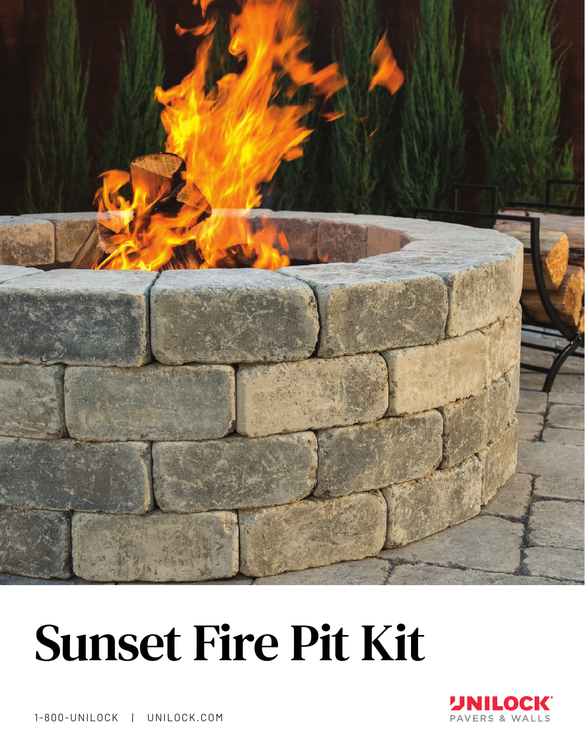

# Sunset Fire Pit Kit



1-800-UNILOCK | UNILOCK.COM